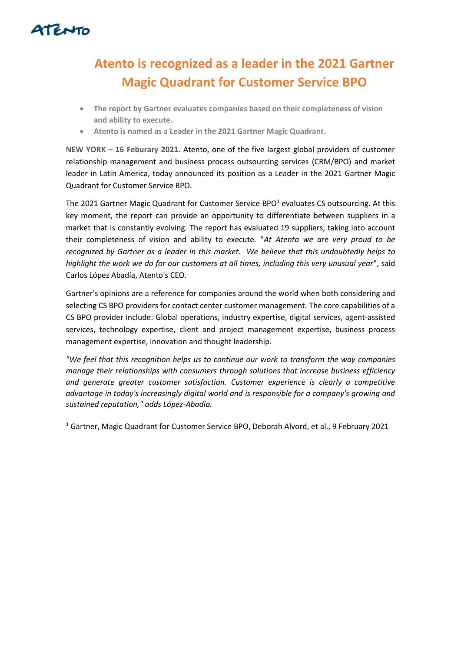

## **Atento is recognized as a leader in the 2021 Gartner Magic Quadrant for Customer Service BPO**

- **The report by Gartner evaluates companies based on their completeness of vision and ability to execute.**
- **Atento is named as a Leader in the 2021 Gartner Magic Quadrant.**

**NEW YORK – 16 Feburary 2021.** Atento, one of the five largest global providers of customer relationship management and business process outsourcing services (CRM/BPO) and market leader in Latin America, today announced its position as a Leader in the 2021 Gartner Magic Quadrant for Customer Service BPO.

The 2021 Gartner Magic Quadrant for Customer Service BPO $<sup>1</sup>$  evaluates CS outsourcing. At this</sup> key moment, the report can provide an opportunity to differentiate between suppliers in a market that is constantly evolving. The report has evaluated 19 suppliers, taking into account their completeness of vision and ability to execute. "*At Atento we are very proud to be recognized by Gartner as a leader in this market. We believe that this undoubtedly helps to highlight the work we do for our customers at all times, including this very unusual year*", said Carlos López Abadía, Atento's CEO.

Gartner's opinions are a reference for companies around the world when both considering and selecting CS BPO providers for contact center customer management. The core capabilities of a CS BPO provider include: Global operations, industry expertise, digital services, agent-assisted services, technology expertise, client and project management expertise, business process management expertise, innovation and thought leadership.

*"We feel that this recognition helps us to continue our work to transform the way companies manage their relationships with consumers through solutions that increase business efficiency and generate greater customer satisfaction. Customer experience is clearly a competitive advantage in today's increasingly digital world and is responsible for a company's growing and sustained reputation," adds López-Abadía.* 

**<sup>1</sup>** Gartner, Magic Quadrant for Customer Service BPO, Deborah Alvord, et al., 9 February 2021